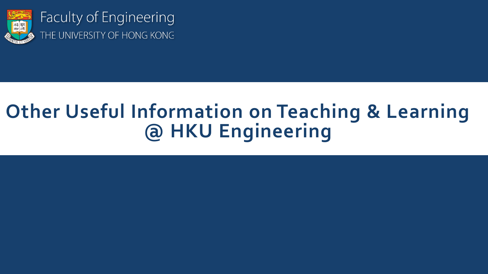

Faculty of Engineering THE UNIVERSITY OF HONG KONG

## **Other Useful Information on Teaching & Learning @ HKU Engineering**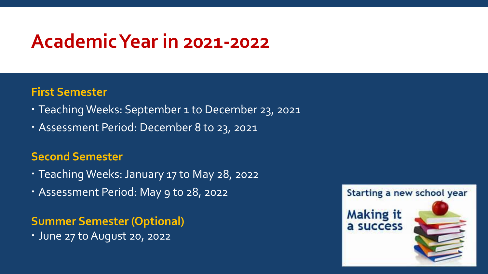### **Academic Year in 2021-2022**

#### **First Semester**

- Teaching Weeks: September 1 to December 23, 2021
- Assessment Period: December 8 to 23, 2021

#### **Second Semester**

- Teaching Weeks: January 17 to May 28, 2022
- Assessment Period: May 9 to 28, 2022

**Summer Semester (Optional)**

June 27 to August 20, 2022

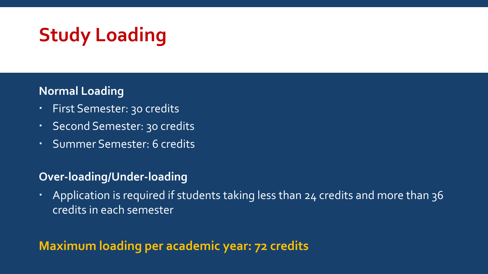# **Study Loading**

#### **Normal Loading**

- First Semester: 30 credits
- Second Semester: 30 credits
- Summer Semester: 6 credits

#### **Over-loading/Under-loading**

• Application is required if students taking less than 24 credits and more than 36 credits in each semester

### **Maximum loading per academic year: 72 credits**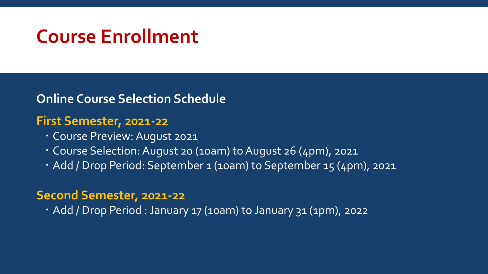### **Course Enrollment**

**Online Course Selection Schedule**

#### **First Semester, 2021-22**

- Course Preview: August 2021
- Course Selection: August 20 (10am) to August 26 (4pm), 2021
- Add / Drop Period: September 1 (10am) to September 15 (4pm), 2021

#### **Second Semester, 2021-22**

Add / Drop Period : January 17 (10am) to January 31 (1pm), 2022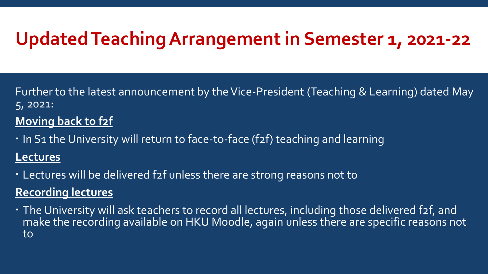### **Updated Teaching Arrangement in Semester 1, 2021-22**

Further to the latest announcement by the Vice-President (Teaching & Learning) dated May 5, 2021:

#### **Moving back to f2f**

. In S1 the University will return to face-to-face (f2f) teaching and learning

#### **Lectures**

Lectures will be delivered f2f unless there are strong reasons not to

### **Recording lectures**

 The University will ask teachers to record all lectures, including those delivered f2f, and make the recording available on HKU Moodle, again unless there are specific reasons not to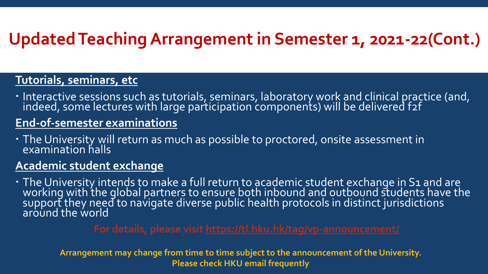### **Updated Teaching Arrangement in Semester 1, 2021-22(Cont.)**

#### **Tutorials, seminars, etc**

· Interactive sessions such as tutorials, seminars, laboratory work and clinical practice (and, indeed, some lectures with large participation components) will be delivered f2f

#### **End-of-semester examinations**

 The University will return as much as possible to proctored, onsite assessment in examination halls

#### **Academic student exchange**

· The University intends to make a full return to academic student exchange in S1 and are working with the global partners to ensure both inbound and outbound students have the support they need to navigate diverse public health protocols in distinct jurisdictions around the world

**Arrangement may change from time to time subject to the announcement of the University. Please check HKU email frequently**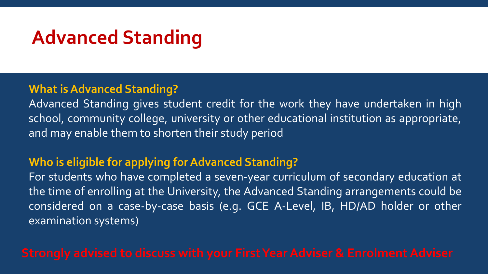## **Advanced Standing**

#### **What is Advanced Standing?**

Advanced Standing gives student credit for the work they have undertaken in high school, community college, university or other educational institution as appropriate, and may enable them to shorten their study period

#### **Who is eligible for applying for Advanced Standing?**

For students who have completed a seven-year curriculum of secondary education at the time of enrolling at the University, the Advanced Standing arrangements could be considered on a case-by-case basis (e.g. GCE A-Level, IB, HD/AD holder or other examination systems)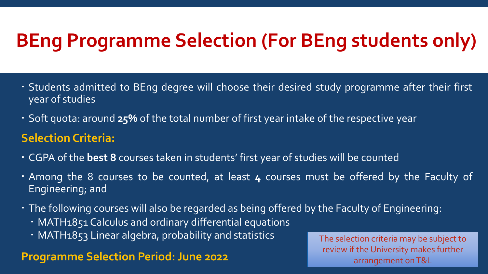## **BEng Programme Selection (For BEng students only)**

- Students admitted to BEng degree will choose their desired study programme after their first year of studies
- Soft quota: around **25%** of the total number of first year intake of the respective year

### **Selection Criteria:**

- CGPA of the **best 8** courses taken in students' first year of studies will be counted
- Among the 8 courses to be counted, at least **4** courses must be offered by the Faculty of Engineering; and
- The following courses will also be regarded as being offered by the Faculty of Engineering:
	- MATH1851 Calculus and ordinary differential equations
	- MATH1853 Linear algebra, probability and statistics

#### **Programme Selection Period: June 2022**

The selection criteria may be subject to review if the University makes further arrangement on T&L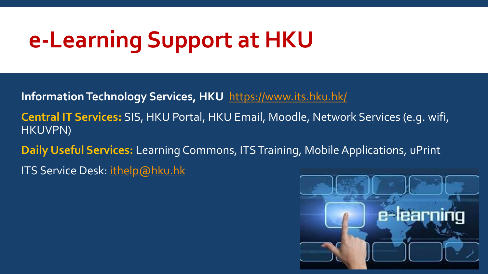# **e-Learning Support at HKU**

**Information Technology Services, HKU** <https://www.its.hku.hk/>

**Central IT Services:** SIS, HKU Portal, HKU Email, Moodle, Network Services (e.g. wifi, HKUVPN)

**Daily Useful Services:** Learning Commons, ITS Training, Mobile Applications, uPrint

ITS Service Desk: [ithelp@hku.hk](mailto:ithelp@hku.hk)

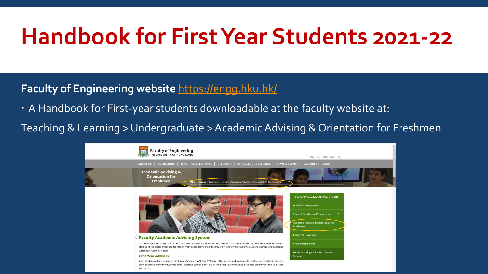# **Handbook for First Year Students 2021-22**

#### **Faculty of Engineering website** <https://engg.hku.hk/>

A Handbook for First-year students downloadable at the faculty website at:

Teaching & Learning > Undergraduate > Academic Advising & Orientation for Freshmen

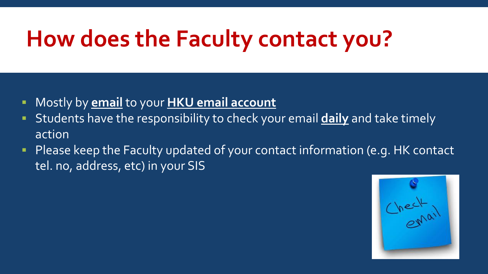# **How does the Faculty contact you?**

- Mostly by **email** to your **HKU email account**
- Students have the responsibility to check your email **daily** and take timely action
- Please keep the Faculty updated of your contact information (e.g. HK contact tel. no, address, etc) in your SIS